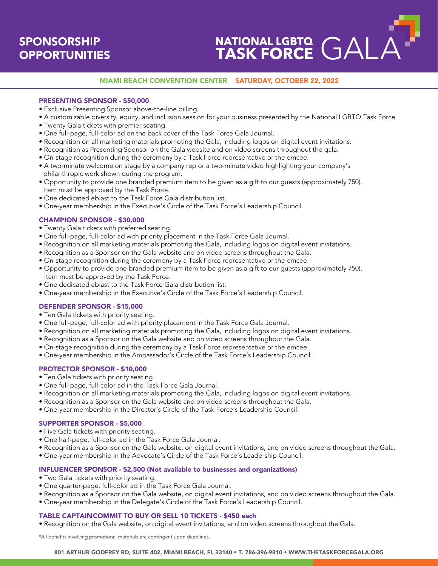# **SPONSORSHIP OPPORTUNITIES**

# NATIONAL LGBTQ GALA

## MIAMI BEACH CONVENTION CENTER SATURDAY, OCTOBER 22, 2022

### PRESENTING SPONSOR - \$50,000

- Exclusive Presenting Sponsor above-the-line billing.
- A customizable diversity, equity, and inclusion session for your business presented by the National LGBTQ Task Force
- Twenty Gala tickets with premier seating.
- One full-page, full-color ad on the back cover of the Task Force Gala Journal.
- Recognition on all marketing materials promoting the Gala, including logos on digital event invitations.
- Recognition as Presenting Sponsor on the Gala website and on video screens throughout the gala.
- On-stage recognition during the ceremony by a Task Force representative or the emcee.
- A two-minute welcome on stage by a company rep or a two-minute video highlighting your company's philanthropic work shown during the program.
- Opportunity to provide one branded premium item to be given as a gift to our guests (approximately 750). Item must be approved by the Task Force.
- One dedicated eblast to the Task Force Gala distribution list.
- One-year membership in the Executive's Circle of the Task Force's Leadership Council.

### CHAMPION SPONSOR - \$30,000

- Twenty Gala tickets with preferred seating.
- One full-page, full-color ad with priority placement in the Task Force Gala Journal.
- Recognition on all marketing materials promoting the Gala, including logos on digital event invitations.
- Recognition as a Sponsor on the Gala website and on video screens throughout the Gala.
- On-stage recognition during the ceremony by a Task Force representative or the emcee.
- Opportunity to provide one branded premium item to be given as a gift to our guests (approximately 750). Item must be approved by the Task Force.
- One dedicated eblast to the Task Force Gala distribution list.
- One-year membership in the Executive's Circle of the Task Force's Leadership Council.

## DEFENDER SPONSOR - \$15,000

- Ten Gala tickets with priority seating.
- One full-page, full-color ad with priority placement in the Task Force Gala Journal.
- Recognition on all marketing materials promoting the Gala, including logos on digital event invitations.
- Recognition as a Sponsor on the Gala website and on video screens throughout the Gala.
- On-stage recognition during the ceremony by a Task Force representative or the emcee.
- One-year membership in the Ambassador's Circle of the Task Force's Leadership Council.

### PROTECTOR SPONSOR - \$10,000

- Ten Gala tickets with priority seating.
- One full-page, full-color ad in the Task Force Gala Journal.
- Recognition on all marketing materials promoting the Gala, including logos on digital event invitations.
- Recognition as a Sponsor on the Gala website and on video screens throughout the Gala.
- One-year membership in the Director's Circle of the Task Force's Leadership Council.

### SUPPORTER SPONSOR - \$5,000

- Five Gala tickets with priority seating.
- One half-page, full-color ad in the Task Force Gala Journal.
- Recognition as a Sponsor on the Gala website, on digital event invitations, and on video screens throughout the Gala.
- One-year membership in the Advocate's Circle of the Task Force's Leadership Council.

#### INFLUENCER SPONSOR - \$2,500 (Not available to businesses and organizations)

- Two Gala tickets with priority seating.
- One quarter-page, full-color ad in the Task Force Gala Journal.
- Recognition as a Sponsor on the Gala website, on digital event invitations, and on video screens throughout the Gala.
- One-year membership in the Delegate's Circle of the Task Force's Leadership Council.

#### TABLE CAPTAIN COMMIT TO BUY OR SELL 10 TICKETS - \$450 each

• Recognition on the Gala website, on digital event invitations, and on video screens throughout the Gala.

\*All benefits involving promotional materials are contingent upon deadlines.

#### 801 ARTHUR GODFREY RD, SUITE 402, MIAMI BEACH, FL 33140 • T. 786-396-9810 • WWW.THETASKFORCEGALA.ORG